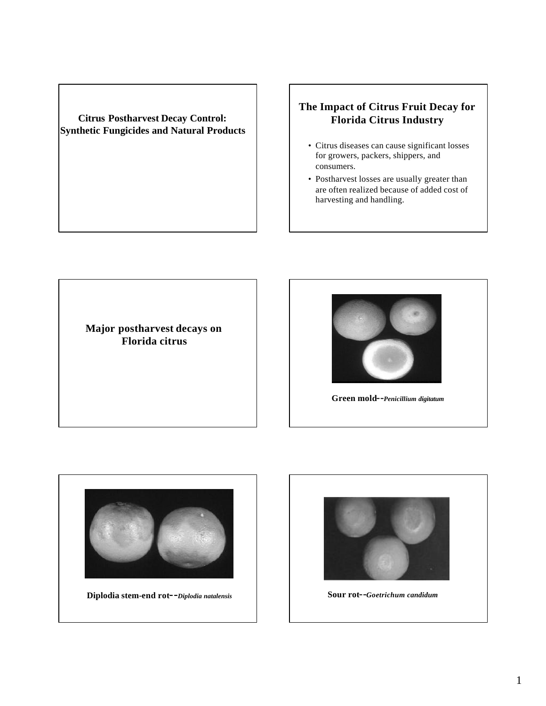#### **Citrus Postharvest Decay Control: Synthetic Fungicides and Natural Products**

## **The Impact of Citrus Fruit Decay for Florida Citrus Industry**

- Citrus diseases can cause significant losses for growers, packers, shippers, and consumers.
- Postharvest losses are usually greater than are often realized because of added cost of harvesting and handling.

**Major postharvest decays on Florida citrus**



**Green mold--***Penicillium digitatum*



**Diplodia stem-end rot--***Diplodia natalensis* **Sour rot--***Goetrichum candidum*

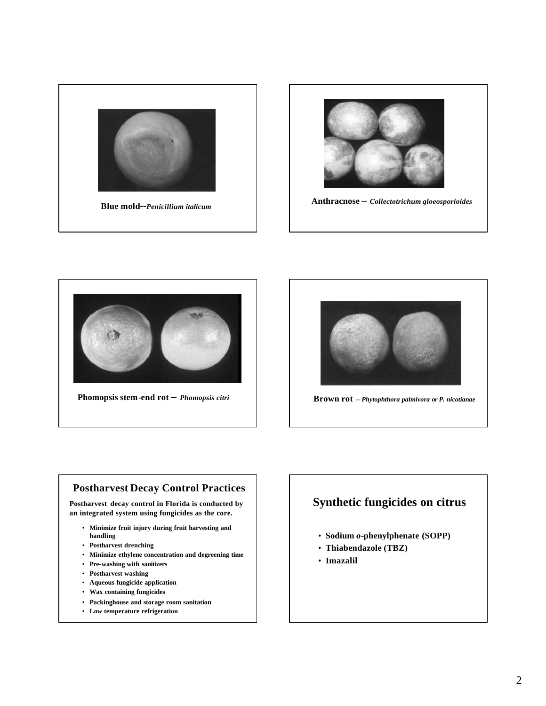





**Phomopsis stem-end rot –** *Phomopsis citri* **Brown rot --** *Phytophthora palmivora or P. nicotianae*



#### **Postharvest Decay Control Practices**

**Postharvest decay control in Florida is conducted by an integrated system using fungicides as the core.**

- **Minimize fruit injury during fruit harvesting and handling**
- **Postharvest drenching**
- **Minimize ethylene concentration and degreening time**
- **Pre-washing with sanitizers**
- **Postharvest washing**
- **Aqueous fungicide application**
- **Wax containing fungicides**
- **Packinghouse and storage room sanitation**
- **Low temperature refrigeration**

# **Synthetic fungicides on citrus**

- **Sodium** *o***-phenylphenate (SOPP)**
- **Thiabendazole (TBZ)**
- **Imazalil**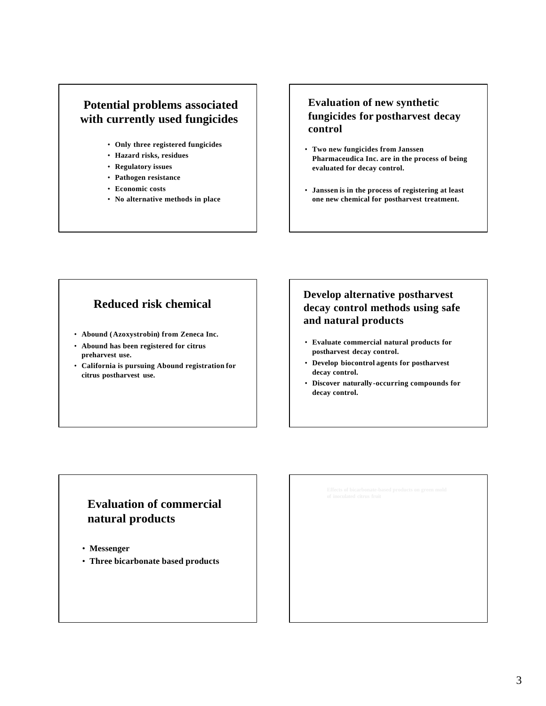# **Potential problems associated with currently used fungicides**

- **Only three registered fungicides**
- **Hazard risks, residues**
- **Regulatory issues**
- **Pathogen resistance**
- **Economic costs**
- **No alternative methods in place**

### **Evaluation of new synthetic fungicides for postharvest decay control**

- **Two new fungicides from Janssen Pharmaceudica Inc. are in the process of being evaluated for decay control.**
- **Janssen is in the process of registering at least one new chemical for postharvest treatment.**

## **Reduced risk chemical**

- **Abound (Azoxystrobin) from Zeneca Inc.**
- **Abound has been registered for citrus preharvest use.**
- **California is pursuing Abound registration for citrus postharvest use.**

## **Develop alternative postharvest decay control methods using safe and natural products**

- **Evaluate commercial natural products for postharvest decay control.**
- **Develop biocontrol agents for postharvest decay control.**
- **Discover naturally-occurring compounds for decay control.**

# **Evaluation of commercial natural products**

- **Messenger**
- **Three bicarbonate based products**